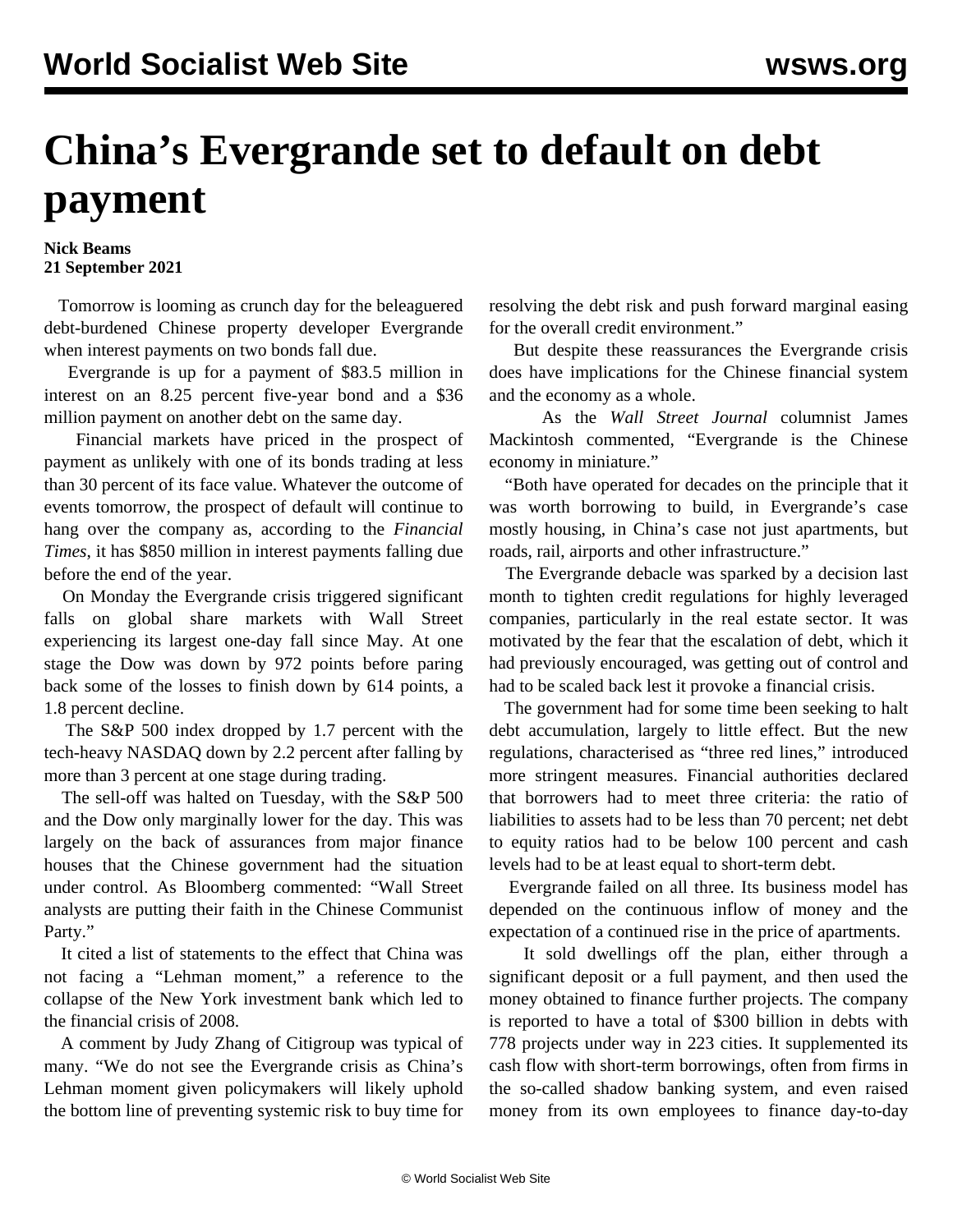## **China's Evergrande set to default on debt payment**

## **Nick Beams 21 September 2021**

 Tomorrow is looming as crunch day for the beleaguered debt-burdened Chinese property developer Evergrande when interest payments on two bonds fall due.

 Evergrande is up for a payment of \$83.5 million in interest on an 8.25 percent five-year bond and a \$36 million payment on another debt on the same day.

 Financial markets have priced in the prospect of payment as unlikely with one of its bonds trading at less than 30 percent of its face value. Whatever the outcome of events tomorrow, the prospect of default will continue to hang over the company as, according to the *Financial Times*, it has \$850 million in interest payments falling due before the end of the year.

 On Monday the Evergrande crisis triggered significant falls on global share markets with Wall Street experiencing its largest one-day fall since May. At one stage the Dow was down by 972 points before paring back some of the losses to finish down by 614 points, a 1.8 percent decline.

 The S&P 500 index dropped by 1.7 percent with the tech-heavy NASDAQ down by 2.2 percent after falling by more than 3 percent at one stage during trading.

 The sell-off was halted on Tuesday, with the S&P 500 and the Dow only marginally lower for the day. This was largely on the back of assurances from major finance houses that the Chinese government had the situation under control. As Bloomberg commented: "Wall Street analysts are putting their faith in the Chinese Communist Party."

 It cited a list of statements to the effect that China was not facing a "Lehman moment," a reference to the collapse of the New York investment bank which led to the financial crisis of 2008.

 A comment by Judy Zhang of Citigroup was typical of many. "We do not see the Evergrande crisis as China's Lehman moment given policymakers will likely uphold the bottom line of preventing systemic risk to buy time for

resolving the debt risk and push forward marginal easing for the overall credit environment."

 But despite these reassurances the Evergrande crisis does have implications for the Chinese financial system and the economy as a whole.

 As the *Wall Street Journal* columnist James Mackintosh commented, "Evergrande is the Chinese economy in miniature."

 "Both have operated for decades on the principle that it was worth borrowing to build, in Evergrande's case mostly housing, in China's case not just apartments, but roads, rail, airports and other infrastructure."

 The Evergrande debacle was sparked by a decision last month to tighten credit regulations for highly leveraged companies, particularly in the real estate sector. It was motivated by the fear that the escalation of debt, which it had previously encouraged, was getting out of control and had to be scaled back lest it provoke a financial crisis.

 The government had for some time been seeking to halt debt accumulation, largely to little effect. But the new regulations, characterised as "three red lines," introduced more stringent measures. Financial authorities declared that borrowers had to meet three criteria: the ratio of liabilities to assets had to be less than 70 percent; net debt to equity ratios had to be below 100 percent and cash levels had to be at least equal to short-term debt.

 Evergrande failed on all three. Its business model has depended on the continuous inflow of money and the expectation of a continued rise in the price of apartments.

 It sold dwellings off the plan, either through a significant deposit or a full payment, and then used the money obtained to finance further projects. The company is reported to have a total of \$300 billion in debts with 778 projects under way in 223 cities. It supplemented its cash flow with short-term borrowings, often from firms in the so-called shadow banking system, and even raised money from its own employees to finance day-to-day